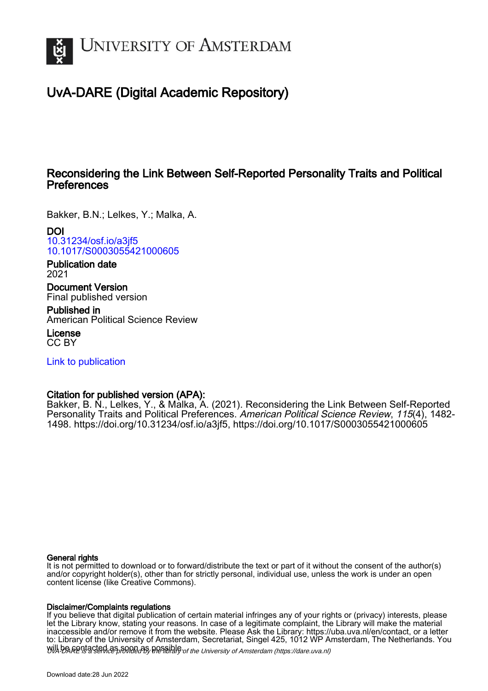

# UvA-DARE (Digital Academic Repository)

## Reconsidering the Link Between Self-Reported Personality Traits and Political **Preferences**

Bakker, B.N.; Lelkes, Y.; Malka, A.

DOI [10.31234/osf.io/a3jf5](https://doi.org/10.31234/osf.io/a3jf5) [10.1017/S0003055421000605](https://doi.org/10.1017/S0003055421000605)

Publication date 2021

Document Version Final published version

Published in American Political Science Review

License CC BY

[Link to publication](https://dare.uva.nl/personal/pure/en/publications/reconsidering-the-link-between-selfreported-personality-traits-and-political-preferences(74b442ca-bfb5-4937-bf55-5909ecce02f6).html)

## Citation for published version (APA):

Bakker, B. N., Lelkes, Y., & Malka, A. (2021). Reconsidering the Link Between Self-Reported Personality Traits and Political Preferences. American Political Science Review, 115(4), 1482-1498. [https://doi.org/10.31234/osf.io/a3jf5,](https://doi.org/10.31234/osf.io/a3jf5)<https://doi.org/10.1017/S0003055421000605>

#### General rights

It is not permitted to download or to forward/distribute the text or part of it without the consent of the author(s) and/or copyright holder(s), other than for strictly personal, individual use, unless the work is under an open content license (like Creative Commons).

#### Disclaimer/Complaints regulations

Will be **Rentacted as solutions** the spilling of the University of Amsterdam (https://dare.uva.nl) If you believe that digital publication of certain material infringes any of your rights or (privacy) interests, please let the Library know, stating your reasons. In case of a legitimate complaint, the Library will make the material inaccessible and/or remove it from the website. Please Ask the Library: https://uba.uva.nl/en/contact, or a letter to: Library of the University of Amsterdam, Secretariat, Singel 425, 1012 WP Amsterdam, The Netherlands. You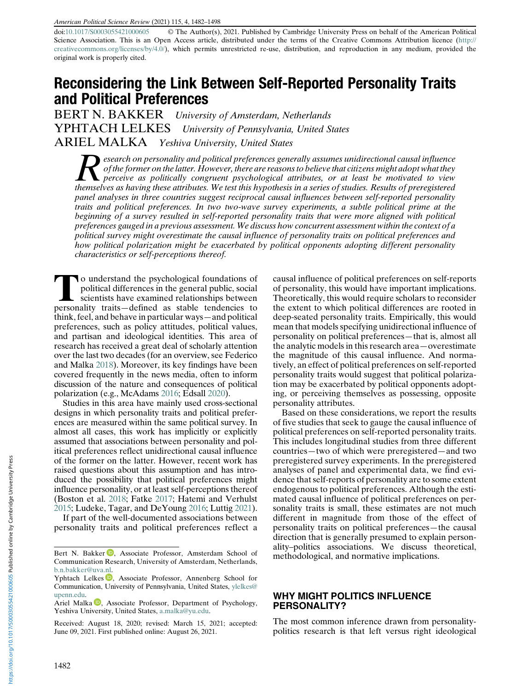American Political Science Review (2021) 115, 4, 1482–1498

doi:[10.1017/S0003055421000605](https://doi.org/10.1017/S0003055421000605) © The Author(s), 2021. Published by Cambridge University Press on behalf of the American Political Science Association. This is an Open Access article, distributed under the terms of the Creative Commons Attribution licence ([http://](http://creativecommons.org/licenses/by/4.0/) [creativecommons.org/licenses/by/4.0/\)](http://creativecommons.org/licenses/by/4.0/), which permits unrestricted re-use, distribution, and reproduction in any medium, provided the original work is properly cited.

## Reconsidering the Link Between Self-Reported Personality Traits and Political Preferences

BERT N. BAKKER University of Amsterdam, Netherlands YPHTACH LELKES University of Pennsylvania, United States ARIEL MALKA Yeshiva University, United States

Research on personality and political preferences generally assumes unidirectional causal influence<br>of the former on the latter. However, there are reasons to believe that citizens might adopt what they<br>perceive as politic of the former on the latter. However, there are reasons to believe that citizens might adopt what they themselves as having these attributes. We test this hypothesis in a series of studies. Results of preregistered panel analyses in three countries suggest reciprocal causal influences between self-reported personality traits and political preferences. In two two-wave survey experiments, a subtle political prime at the beginning of a survey resulted in self-reported personality traits that were more aligned with political preferences gauged in a previous assessment. We discuss how concurrent assessment within the context of a political survey might overestimate the causal influence of personality traits on political preferences and how political polarization might be exacerbated by political opponents adopting different personality characteristics or self-perceptions thereof.

To understand the psychological foundations of political differences in the general public, social scientists have examined relationships between personality traits—defined as stable tendencies to think, feel, and behave in particular ways—and political preferences, such as policy attitudes, political values, and partisan and ideological identities. This area of research has received a great deal of scholarly attention over the last two decades (for an overview, see Federico and Malka [2018\)](#page-16-0). Moreover, its key findings have been covered frequently in the news media, often to inform discussion of the nature and consequences of political polarization (e.g., McAdams [2016](#page-17-0); Edsall [2020\)](#page-16-0).

Studies in this area have mainly used cross-sectional designs in which personality traits and political preferences are measured within the same political survey. In almost all cases, this work has implicitly or explicitly assumed that associations between personality and political preferences reflect unidirectional causal influence of the former on the latter. However, recent work has raised questions about this assumption and has introduced the possibility that political preferences might influence personality, or at least self-perceptions thereof (Boston et al. [2018](#page-16-0); Fatke [2017;](#page-16-0) Hatemi and Verhulst [2015;](#page-16-0) Ludeke, Tagar, and DeYoung [2016](#page-17-0); Luttig [2021\)](#page-17-0).

If part of the well-documented associations between personality traits and political preferences reflect a causal influence of political preferences on self-reports of personality, this would have important implications. Theoretically, this would require scholars to reconsider the extent to which political differences are rooted in deep-seated personality traits. Empirically, this would mean that models specifying unidirectional influence of personality on political preferences—that is, almost all the analytic models in this research area—overestimate the magnitude of this causal influence. And normatively, an effect of political preferences on self-reported personality traits would suggest that political polarization may be exacerbated by political opponents adopting, or perceiving themselves as possessing, opposite personality attributes.

Based on these considerations, we report the results of five studies that seek to gauge the causal influence of political preferences on self-reported personality traits. This includes longitudinal studies from three different countries—two of which were preregistered—and two preregistered survey experiments. In the preregistered analyses of panel and experimental data, we find evidence that self-reports of personality are to some extent endogenous to political preferences. Although the estimated causal influence of political preferences on personality traits is small, these estimates are not much different in magnitude from those of the effect of personality traits on political preferences—the causal direction that is generally presumed to explain personality–politics associations. We discuss theoretical, methodological, and normative implications.

#### WHY MIGHT POLITICS INFLUENCE PERSONALITY?

The most common inference drawn from personalitypolitics research is that left versus right ideological

Bert N. Bakker D. Associate Professor[,](https://orcid.org/0000-0002-6491-5045) Amsterdam School of Communication Research, University of Amsterdam, Netherlands, [b.n.bakker@uva.nl.](mailto:b.n.bakker@uva.nl)

Yphtach Lelkes  $\mathbb D$ , Associate Professor, Annenberg School for Communication, University of Pennsylvania, United States, [ylelkes@](mailto:ylelkes@upenn.edu) [upenn.edu](mailto:ylelkes@upenn.edu).

Ariel Malka [,](https://orcid.org/0000-0002-7300-514X) Associate Professor, Department of Psychology, Yeshiva University, United States, [a.malka@yu.edu](mailto:a.malka@yu.edu).

Received: August 18, 2020; revised: March 15, 2021; accepted: June 09, 2021. First published online: August 26, 2021.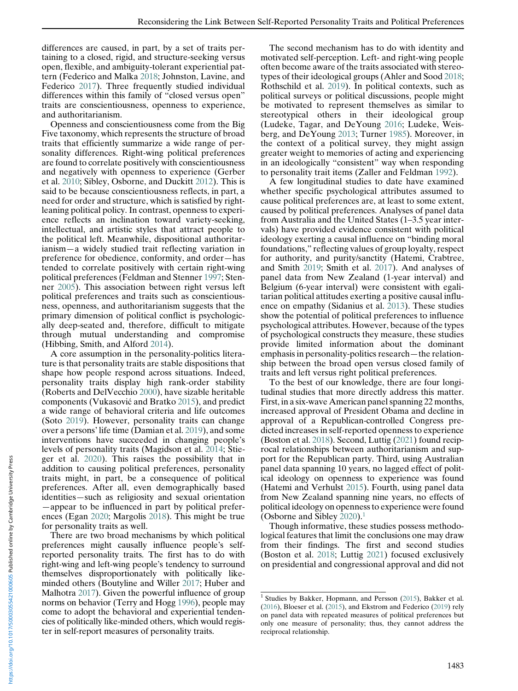differences are caused, in part, by a set of traits pertaining to a closed, rigid, and structure-seeking versus open, flexible, and ambiguity-tolerant experiential pattern (Federico and Malka [2018;](#page-16-0) Johnston, Lavine, and Federico [2017\)](#page-16-0). Three frequently studied individual differences within this family of "closed versus open" traits are conscientiousness, openness to experience, and authoritarianism.

Openness and conscientiousness come from the Big Five taxonomy, which represents the structure of broad traits that efficiently summarize a wide range of personality differences. Right-wing political preferences are found to correlate positively with conscientiousness and negatively with openness to experience (Gerber et al. [2010](#page-16-0); Sibley, Osborne, and Duckitt [2012](#page-17-0)). This is said to be because conscientiousness reflects, in part, a need for order and structure, which is satisfied by rightleaning political policy. In contrast, openness to experience reflects an inclination toward variety-seeking, intellectual, and artistic styles that attract people to the political left. Meanwhile, dispositional authoritarianism—a widely studied trait reflecting variation in preference for obedience, conformity, and order—has tended to correlate positively with certain right-wing political preferences (Feldman and Stenner [1997;](#page-16-0) Stenner [2005](#page-17-0)). This association between right versus left political preferences and traits such as conscientiousness, openness, and authoritarianism suggests that the primary dimension of political conflict is psychologically deep-seated and, therefore, difficult to mitigate through mutual understanding and compromise (Hibbing, Smith, and Alford [2014\)](#page-16-0).

A core assumption in the personality-politics literature is that personality traits are stable dispositions that shape how people respond across situations. Indeed, personality traits display high rank-order stability (Roberts and DelVecchio [2000\)](#page-17-0), have sizable heritable components (Vukasović and Bratko [2015\)](#page-17-0), and predict a wide range of behavioral criteria and life outcomes (Soto [2019\)](#page-17-0). However, personality traits can change over a persons' life time (Damian et al. [2019](#page-16-0)), and some interventions have succeeded in changing people's levels of personality traits (Magidson et al. [2014;](#page-17-0) Stieger et al. [2020\)](#page-17-0). This raises the possibility that in addition to causing political preferences, personality traits might, in part, be a consequence of political preferences. After all, even demographically based identities—such as religiosity and sexual orientation —appear to be influenced in part by political preferences (Egan [2020](#page-16-0); Margolis [2018\)](#page-17-0). This might be true for personality traits as well.

There are two broad mechanisms by which political preferences might causally influence people's selfreported personality traits. The first has to do with right-wing and left-wing people's tendency to surround themselves disproportionately with politically likeminded others (Boutyline and Willer [2017;](#page-16-0) Huber and Malhotra [2017](#page-16-0)). Given the powerful influence of group norms on behavior (Terry and Hogg [1996](#page-17-0)), people may come to adopt the behavioral and experiential tendencies of politically like-minded others, which would register in self-report measures of personality traits.

The second mechanism has to do with identity and motivated self-perception. Left- and right-wing people often become aware of the traits associated with stereotypes of their ideological groups (Ahler and Sood [2018;](#page-16-0) Rothschild et al. [2019\)](#page-17-0). In political contexts, such as political surveys or political discussions, people might be motivated to represent themselves as similar to stereotypical others in their ideological group (Ludeke, Tagar, and DeYoung [2016;](#page-17-0) Ludeke, Weisberg, and DeYoung [2013;](#page-17-0) Turner [1985](#page-17-0)). Moreover, in the context of a political survey, they might assign greater weight to memories of acting and experiencing in an ideologically "consistent" way when responding to personality trait items (Zaller and Feldman [1992](#page-17-0)).

A few longitudinal studies to date have examined whether specific psychological attributes assumed to cause political preferences are, at least to some extent, caused by political preferences. Analyses of panel data from Australia and the United States (1–3.5 year intervals) have provided evidence consistent with political ideology exerting a causal influence on "binding moral foundations," reflecting values of group loyalty, respect for authority, and purity/sanctity (Hatemi, Crabtree, and Smith [2019;](#page-16-0) Smith et al. [2017\)](#page-17-0). And analyses of panel data from New Zealand (1-year interval) and Belgium (6-year interval) were consistent with egalitarian political attitudes exerting a positive causal influence on empathy (Sidanius et al. [2013\)](#page-17-0). These studies show the potential of political preferences to influence psychological attributes. However, because of the types of psychological constructs they measure, these studies provide limited information about the dominant emphasis in personality-politics research—the relationship between the broad open versus closed family of traits and left versus right political preferences.

To the best of our knowledge, there are four longitudinal studies that more directly address this matter. First, in a six-wave American panel spanning 22 months, increased approval of President Obama and decline in approval of a Republican-controlled Congress predicted increases in self-reported openness to experience (Boston et al. [2018\)](#page-16-0). Second, Luttig [\(2021](#page-17-0)) found reciprocal relationships between authoritarianism and support for the Republican party. Third, using Australian panel data spanning 10 years, no lagged effect of political ideology on openness to experience was found (Hatemi and Verhulst [2015\)](#page-16-0). Fourth, using panel data from New Zealand spanning nine years, no effects of political ideology on openness to experience were found (Osborne and Sibley [2020](#page-17-0)).1

Though informative, these studies possess methodological features that limit the conclusions one may draw from their findings. The first and second studies (Boston et al. [2018;](#page-16-0) Luttig [2021\)](#page-17-0) focused exclusively on presidential and congressional approval and did not

 $1$  Studies by Bakker, Hopmann, and Persson ([2015\)](#page-16-0), Bakker et al. ([2016\)](#page-16-0), Bloeser et al. [\(2015](#page-16-0)), and Ekstrom and Federico [\(2019](#page-16-0)) rely on panel data with repeated measures of political preferences but only one measure of personality; thus, they cannot address the reciprocal relationship.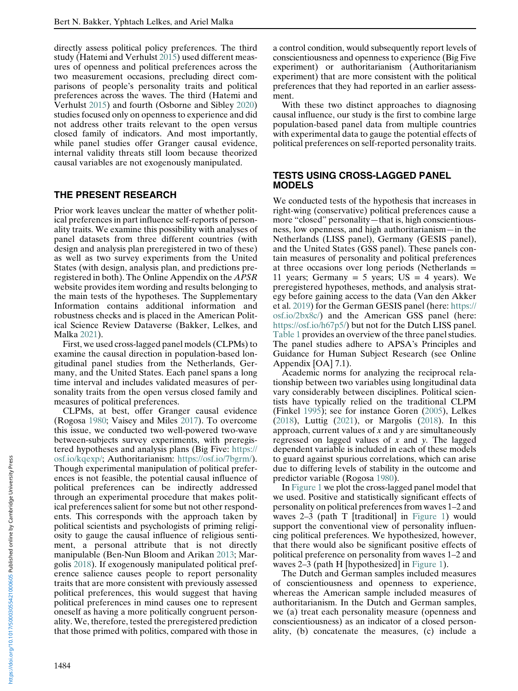directly assess political policy preferences. The third study (Hatemi and Verhulst [2015\)](#page-16-0) used different measures of openness and political preferences across the two measurement occasions, precluding direct comparisons of people's personality traits and political preferences across the waves. The third (Hatemi and Verhulst [2015](#page-16-0)) and fourth (Osborne and Sibley [2020](#page-17-0)) studies focused only on openness to experience and did not address other traits relevant to the open versus closed family of indicators. And most importantly, while panel studies offer Granger causal evidence, internal validity threats still loom because theorized causal variables are not exogenously manipulated.

#### THE PRESENT RESEARCH

Prior work leaves unclear the matter of whether political preferences in part influence self-reports of personality traits. We examine this possibility with analyses of panel datasets from three different countries (with design and analysis plan preregistered in two of these) as well as two survey experiments from the United States (with design, analysis plan, and predictions preregistered in both). The Online Appendix on the APSR website provides item wording and results belonging to the main tests of the hypotheses. The Supplementary Information contains additional information and robustness checks and is placed in the American Political Science Review Dataverse (Bakker, Lelkes, and Malka [2021](#page-16-0)).

First, we used cross-lagged panel models (CLPMs) to examine the causal direction in population-based longitudinal panel studies from the Netherlands, Germany, and the United States. Each panel spans a long time interval and includes validated measures of personality traits from the open versus closed family and measures of political preferences.

CLPMs, at best, offer Granger causal evidence (Rogosa [1980;](#page-17-0) Vaisey and Miles [2017](#page-17-0)). To overcome this issue, we conducted two well-powered two-wave between-subjects survey experiments, with preregistered hypotheses and analysis plans (Big Five: [https://](https://osf.io/kqexp/) [osf.io/kqexp/](https://osf.io/kqexp/); Authoritarianism: [https://osf.io/7bgrm/\)](https://osf.io/7bgrm/). Though experimental manipulation of political preferences is not feasible, the potential causal influence of political preferences can be indirectly addressed through an experimental procedure that makes political preferences salient for some but not other respondents. This corresponds with the approach taken by political scientists and psychologists of priming religiosity to gauge the causal influence of religious sentiment, a personal attribute that is not directly manipulable (Ben-Nun Bloom and Arikan [2013](#page-16-0); Margolis [2018\)](#page-17-0). If exogenously manipulated political preference salience causes people to report personality traits that are more consistent with previously assessed political preferences, this would suggest that having political preferences in mind causes one to represent oneself as having a more politically congruent personality. We, therefore, tested the preregistered prediction that those primed with politics, compared with those in

a control condition, would subsequently report levels of conscientiousness and openness to experience (Big Five experiment) or authoritarianism (Authoritarianism experiment) that are more consistent with the political preferences that they had reported in an earlier assessment.

With these two distinct approaches to diagnosing causal influence, our study is the first to combine large population-based panel data from multiple countries with experimental data to gauge the potential effects of political preferences on self-reported personality traits.

#### TESTS USING CROSS-LAGGED PANEL MODELS

We conducted tests of the hypothesis that increases in right-wing (conservative) political preferences cause a more "closed" personality—that is, high conscientiousness, low openness, and high authoritarianism—in the Netherlands (LISS panel), Germany (GESIS panel), and the United States (GSS panel). These panels contain measures of personality and political preferences at three occasions over long periods (Netherlands = 11 years; Germany = 5 years;  $US = 4$  years). We preregistered hypotheses, methods, and analysis strategy before gaining access to the data (Van den Akker et al. [2019\)](#page-17-0) for the German GESIS panel (here: [https://](https://osf.io/2bx8c/) [osf.io/2bx8c/\)](https://osf.io/2bx8c/) and the American GSS panel (here: [https://osf.io/h67p5/\)](https://osf.io/h67p5/) but not for the Dutch LISS panel. [Table 1](#page-4-0) provides an overview of the three panel studies. The panel studies adhere to APSA's Principles and Guidance for Human Subject Research (see Online Appendix [OA] 7.1).

Academic norms for analyzing the reciprocal relationship between two variables using longitudinal data vary considerably between disciplines. Political scientists have typically relied on the traditional CLPM (Finkel [1995](#page-16-0)); see for instance Goren [\(2005](#page-16-0)), Lelkes ([2018\)](#page-17-0), Luttig ([2021\)](#page-17-0), or Margolis ([2018](#page-17-0)). In this approach, current values of  $x$  and  $y$  are simultaneously regressed on lagged values of  $x$  and  $y$ . The lagged dependent variable is included in each of these models to guard against spurious correlations, which can arise due to differing levels of stability in the outcome and predictor variable (Rogosa [1980](#page-17-0)).

In [Figure 1](#page-4-0) we plot the cross-lagged panel model that we used. Positive and statistically significant effects of personality on political preferences from waves 1–2 and waves 2–3 (path T [traditional] in [Figure 1\)](#page-4-0) would support the conventional view of personality influencing political preferences. We hypothesized, however, that there would also be significant positive effects of political preference on personality from waves 1–2 and waves 2–3 (path H [hypothesized] in [Figure 1](#page-4-0)).

The Dutch and German samples included measures of conscientiousness and openness to experience, whereas the American sample included measures of authoritarianism. In the Dutch and German samples, we (a) treat each personality measure (openness and conscientiousness) as an indicator of a closed personality, (b) concatenate the measures, (c) include a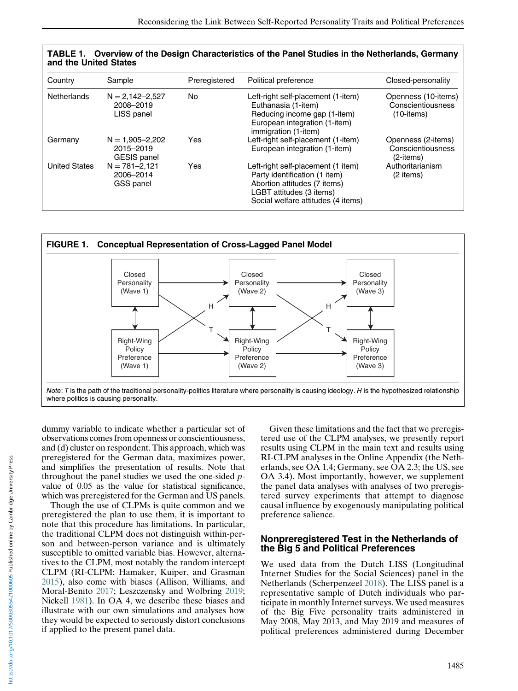| Country              | Sample                                                 | Preregistered | Political preference                                                                                                                                                  | Closed-personality                                           |
|----------------------|--------------------------------------------------------|---------------|-----------------------------------------------------------------------------------------------------------------------------------------------------------------------|--------------------------------------------------------------|
| <b>Netherlands</b>   | $N = 2,142 - 2,527$<br>2008-2019<br>LISS panel         | No            | Left-right self-placement (1-item)<br>Euthanasia (1-item)<br>Reducing income gap (1-item)<br>European integration (1-item)<br>immigration (1-item)                    | Openness (10-items)<br>Conscientiousness<br>$(10$ -items $)$ |
| Germany              | $N = 1,905 - 2,202$<br>2015-2019<br><b>GESIS</b> panel | Yes           | Left-right self-placement (1-item)<br>European integration (1-item)                                                                                                   | Openness (2-items)<br>Conscientiousness<br>(2-items)         |
| <b>United States</b> | $N = 781 - 2,121$<br>2006-2014<br>GSS panel            | Yes           | Left-right self-placement (1 item)<br>Party identification (1 item)<br>Abortion attitudes (7 items)<br>LGBT attitudes (3 items)<br>Social welfare attitudes (4 items) | Authoritarianism<br>(2 items)                                |

<span id="page-4-0"></span>



dummy variable to indicate whether a particular set of observations comes from openness or conscientiousness, and (d) cluster on respondent. This approach, which was preregistered for the German data, maximizes power, and simplifies the presentation of results. Note that throughout the panel studies we used the one-sided pvalue of 0.05 as the value for statistical significance, which was preregistered for the German and US panels.

Though the use of CLPMs is quite common and we preregistered the plan to use them, it is important to note that this procedure has limitations. In particular, the traditional CLPM does not distinguish within-person and between-person variance and is ultimately susceptible to omitted variable bias. However, alternatives to the CLPM, most notably the random intercept CLPM (RI-CLPM; Hamaker, Kuiper, and Grasman [2015\)](#page-16-0), also come with biases (Allison, Williams, and Moral-Benito [2017](#page-16-0); Leszczensky and Wolbring [2019](#page-17-0); Nickell [1981\)](#page-17-0). In OA 4, we describe these biases and illustrate with our own simulations and analyses how they would be expected to seriously distort conclusions if applied to the present panel data.

Given these limitations and the fact that we preregistered use of the CLPM analyses, we presently report results using CLPM in the main text and results using RI-CLPM analyses in the Online Appendix (the Netherlands, see OA 1.4; Germany, see OA 2.3; the US, see OA 3.4). Most importantly, however, we supplement the panel data analyses with analyses of two preregistered survey experiments that attempt to diagnose causal influence by exogenously manipulating political preference salience.

## Nonpreregistered Test in the Netherlands of the Big 5 and Political Preferences

We used data from the Dutch LISS (Longitudinal Internet Studies for the Social Sciences) panel in the Netherlands (Scherpenzeel [2018](#page-17-0)). The LISS panel is a representative sample of Dutch individuals who participate in monthly Internet surveys. We used measures of the Big Five personality traits administered in May 2008, May 2013, and May 2019 and measures of political preferences administered during December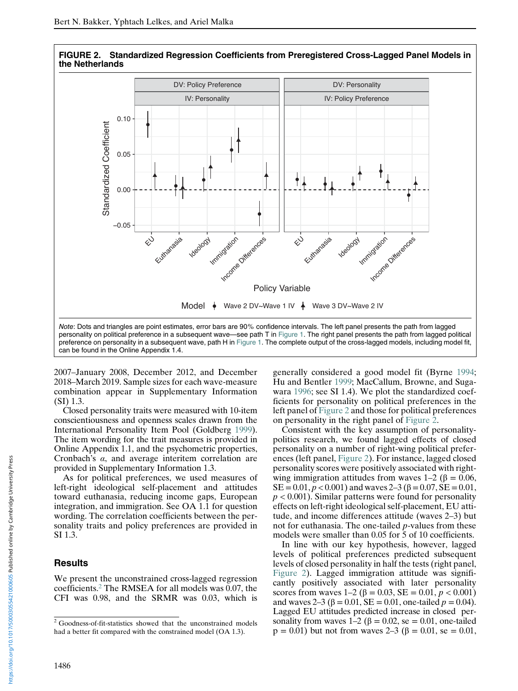



2007–January 2008, December 2012, and December 2018–March 2019. Sample sizes for each wave-measure combination appear in Supplementary Information (SI) 1.3.

can be found in the Online Appendix 1.4.

Closed personality traits were measured with 10-item conscientiousness and openness scales drawn from the International Personality Item Pool (Goldberg [1999\)](#page-16-0). The item wording for the trait measures is provided in Online Appendix 1.1, and the psychometric properties, Cronbach's α, and average interitem correlation are provided in Supplementary Information 1.3.

As for political preferences, we used measures of left-right ideological self-placement and attitudes toward euthanasia, reducing income gaps, European integration, and immigration. See OA 1.1 for question wording. The correlation coefficients between the personality traits and policy preferences are provided in SI 1.3.

#### Results

We present the unconstrained cross-lagged regression coefficients.<sup>2</sup> The RMSEA for all models was 0.07, the CFI was 0.98, and the SRMR was 0.03, which is

generally considered a good model fit (Byrne [1994;](#page-16-0) Hu and Bentler [1999](#page-16-0); MacCallum, Browne, and Sugawara [1996;](#page-17-0) see SI 1.4). We plot the standardized coefficients for personality on political preferences in the left panel of Figure 2 and those for political preferences on personality in the right panel of Figure 2.

Consistent with the key assumption of personalitypolitics research, we found lagged effects of closed personality on a number of right-wing political preferences (left panel, Figure 2). For instance, lagged closed personality scores were positively associated with rightwing immigration attitudes from waves  $1-2$  ( $\beta = 0.06$ , SE =  $0.01, p < 0.001$ ) and waves 2–3 ( $\beta = 0.07$ , SE =  $0.01$ ,  $p < 0.001$ ). Similar patterns were found for personality effects on left-right ideological self-placement, EU attitude, and income differences attitude (waves 2–3) but not for euthanasia. The one-tailed  $p$ -values from these models were smaller than 0.05 for 5 of 10 coefficients.

In line with our key hypothesis, however, lagged levels of political preferences predicted subsequent levels of closed personality in half the tests (right panel, Figure 2). Lagged immigration attitude was significantly positively associated with later personality scores from waves  $1-2$  ( $\beta = 0.03$ ,  $SE = 0.01$ ,  $p < 0.001$ ) and waves 2–3 ( $\beta$  = 0.01, SE = 0.01, one-tailed  $p$  = 0.04). Lagged EU attitudes predicted increase in closed personality from waves  $1-2$  ( $\beta = 0.02$ , se = 0.01, one-tailed  $p = 0.01$ ) but not from waves 2–3 ( $\beta = 0.01$ , se = 0.01,

<sup>2</sup> Goodness-of-fit-statistics showed that the unconstrained models had a better fit compared with the constrained model (OA 1.3).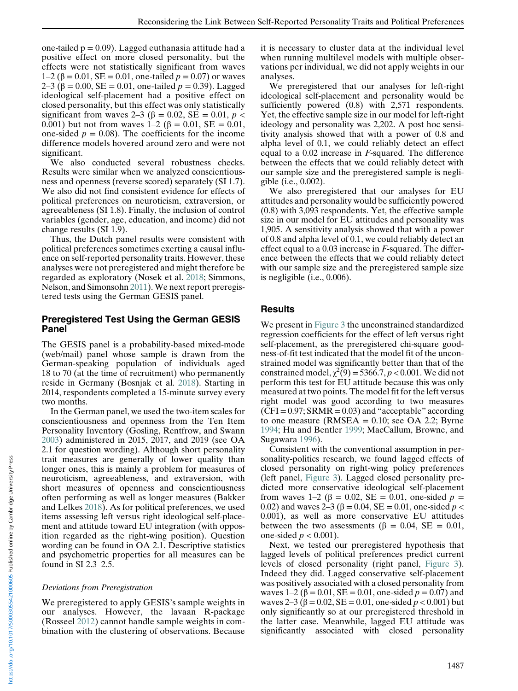one-tailed  $p = 0.09$ ). Lagged euthanasia attitude had a positive effect on more closed personality, but the effects were not statistically significant from waves 1–2 (β = 0.01, SE = 0.01, one-tailed  $p = 0.07$ ) or waves 2–3 (β = 0.00, SE = 0.01, one-tailed  $p = 0.39$ ). Lagged ideological self-placement had a positive effect on closed personality, but this effect was only statistically significant from waves 2–3 ( $\beta$  = 0.02, SE = 0.01,  $p$  < 0.001) but not from waves  $1-2$  (β = 0.01, SE = 0.01, one-sided  $p = 0.08$ ). The coefficients for the income difference models hovered around zero and were not significant.

We also conducted several robustness checks. Results were similar when we analyzed conscientiousness and openness (reverse scored) separately (SI 1.7). We also did not find consistent evidence for effects of political preferences on neuroticism, extraversion, or agreeableness (SI 1.8). Finally, the inclusion of control variables (gender, age, education, and income) did not change results (SI 1.9).

Thus, the Dutch panel results were consistent with political preferences sometimes exerting a causal influence on self-reported personality traits. However, these analyses were not preregistered and might therefore be regarded as exploratory (Nosek et al. [2018](#page-17-0); Simmons, Nelson, and Simonsohn [2011](#page-17-0)). We next report preregistered tests using the German GESIS panel.

#### Preregistered Test Using the German GESIS Panel

The GESIS panel is a probability-based mixed-mode (web/mail) panel whose sample is drawn from the German-speaking population of individuals aged 18 to 70 (at the time of recruitment) who permanently reside in Germany (Bosnjak et al. [2018](#page-16-0)). Starting in 2014, respondents completed a 15-minute survey every two months.

In the German panel, we used the two-item scales for conscientiousness and openness from the Ten Item Personality Inventory (Gosling, Rentfrow, and Swann [2003\)](#page-16-0) administered in 2015, 2017, and 2019 (see OA 2.1 for question wording). Although short personality trait measures are generally of lower quality than longer ones, this is mainly a problem for measures of neuroticism, agreeableness, and extraversion, with short measures of openness and conscientiousness often performing as well as longer measures (Bakker and Lelkes [2018](#page-16-0)). As for political preferences, we used items assessing left versus right ideological self-placement and attitude toward EU integration (with opposition regarded as the right-wing position). Question wording can be found in OA 2.1. Descriptive statistics and psychometric properties for all measures can be found in SI 2.3–2.5.

#### Deviations from Preregistration

We preregistered to apply GESIS's sample weights in our analyses. However, the lavaan R-package (Rosseel [2012\)](#page-17-0) cannot handle sample weights in combination with the clustering of observations. Because

it is necessary to cluster data at the individual level when running multilevel models with multiple observations per individual, we did not apply weights in our analyses.

We preregistered that our analyses for left-right ideological self-placement and personality would be sufficiently powered  $(0.8)$  with 2,571 respondents. Yet, the effective sample size in our model for left-right ideology and personality was 2,202. A post hoc sensitivity analysis showed that with a power of 0.8 and alpha level of 0.1, we could reliably detect an effect equal to a 0.02 increase in F-squared. The difference between the effects that we could reliably detect with our sample size and the preregistered sample is negligible (i.e., 0.002).

We also preregistered that our analyses for EU attitudes and personality would be sufficiently powered (0.8) with 3,093 respondents. Yet, the effective sample size in our model for EU attitudes and personality was 1,905. A sensitivity analysis showed that with a power of 0.8 and alpha level of 0.1, we could reliably detect an effect equal to a  $0.03$  increase in  $F$ -squared. The difference between the effects that we could reliably detect with our sample size and the preregistered sample size is negligible (i.e., 0.006).

#### Results

We present in [Figure 3](#page-7-0) the unconstrained standardized regression coefficients for the effect of left versus right self-placement, as the preregistered chi-square goodness-of-fit test indicated that the model fit of the unconstrained model was significantly better than that of the constrained model,  $\chi^2(9) = 5366.7, p < 0.001$ . We did not perform this test for EU attitude because this was only measured at two points. The model fit for the left versus right model was good according to two measures  $(CFI = 0.97; SRMR = 0.03)$  and "acceptable" according to one measure (RMSEA =  $0.10$ ; see OA 2.2; Byrne [1994;](#page-16-0) Hu and Bentler [1999](#page-16-0); MacCallum, Browne, and Sugawara [1996](#page-17-0)).

Consistent with the conventional assumption in personality-politics research, we found lagged effects of closed personality on right-wing policy preferences (left panel, [Figure 3\)](#page-7-0). Lagged closed personality predicted more conservative ideological self-placement from waves 1–2 (β = 0.02, SE = 0.01, one-sided  $p =$ 0.02) and waves 2–3 (β = 0.04, SE = 0.01, one-sided  $p$  < 0.001), as well as more conservative EU attitudes between the two assessments ( $\beta = 0.04$ , SE = 0.01, one-sided  $p < 0.001$ ).

Next, we tested our preregistered hypothesis that lagged levels of political preferences predict current levels of closed personality (right panel, [Figure 3\)](#page-7-0). Indeed they did. Lagged conservative self-placement was positively associated with a closed personality from waves  $1-2$  ( $\beta = 0.01$ , SE = 0.01, one-sided  $p = 0.07$ ) and waves  $2-3$  ( $\beta = 0.02$ ,  $SE = 0.01$ , one-sided  $p < 0.001$ ) but only significantly so at our preregistered threshold in the latter case. Meanwhile, lagged EU attitude was significantly associated with closed personality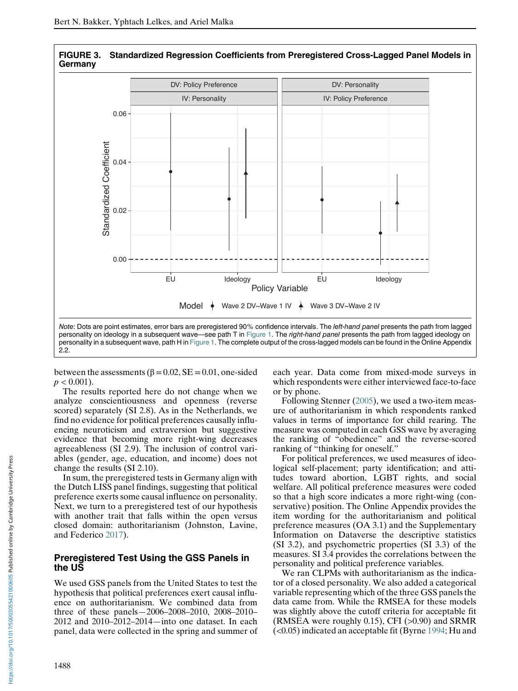

<span id="page-7-0"></span>

between the assessments ( $\beta = 0.02$ , SE = 0.01, one-sided  $p < 0.001$ ).

The results reported here do not change when we analyze conscientiousness and openness (reverse scored) separately (SI 2.8). As in the Netherlands, we find no evidence for political preferences causally influencing neuroticism and extraversion but suggestive evidence that becoming more right-wing decreases agreeableness (SI 2.9). The inclusion of control variables (gender, age, education, and income) does not change the results (SI 2.10).

In sum, the preregistered tests in Germany align with the Dutch LISS panel findings, suggesting that political preference exerts some causal influence on personality. Next, we turn to a preregistered test of our hypothesis with another trait that falls within the open versus closed domain: authoritarianism (Johnston, Lavine, and Federico [2017](#page-16-0)).

#### Preregistered Test Using the GSS Panels in the US

We used GSS panels from the United States to test the hypothesis that political preferences exert causal influence on authoritarianism. We combined data from three of these panels—2006–2008–2010, 2008–2010– 2012 and 2010–2012–2014—into one dataset. In each panel, data were collected in the spring and summer of each year. Data come from mixed-mode surveys in which respondents were either interviewed face-to-face or by phone.

Following Stenner ([2005\)](#page-17-0), we used a two-item measure of authoritarianism in which respondents ranked values in terms of importance for child rearing. The measure was computed in each GSS wave by averaging the ranking of "obedience" and the reverse-scored ranking of "thinking for oneself."

For political preferences, we used measures of ideological self-placement; party identification; and attitudes toward abortion, LGBT rights, and social welfare. All political preference measures were coded so that a high score indicates a more right-wing (conservative) position. The Online Appendix provides the item wording for the authoritarianism and political preference measures (OA 3.1) and the Supplementary Information on Dataverse the descriptive statistics (SI 3.2), and psychometric properties (SI 3.3) of the measures. SI 3.4 provides the correlations between the personality and political preference variables.

We ran CLPMs with authoritarianism as the indicator of a closed personality. We also added a categorical variable representing which of the three GSS panels the data came from. While the RMSEA for these models was slightly above the cutoff criteria for acceptable fit (RMSEA were roughly 0.15), CFI (>0.90) and SRMR (<0.05) indicated an acceptable fit (Byrne [1994](#page-16-0); Hu and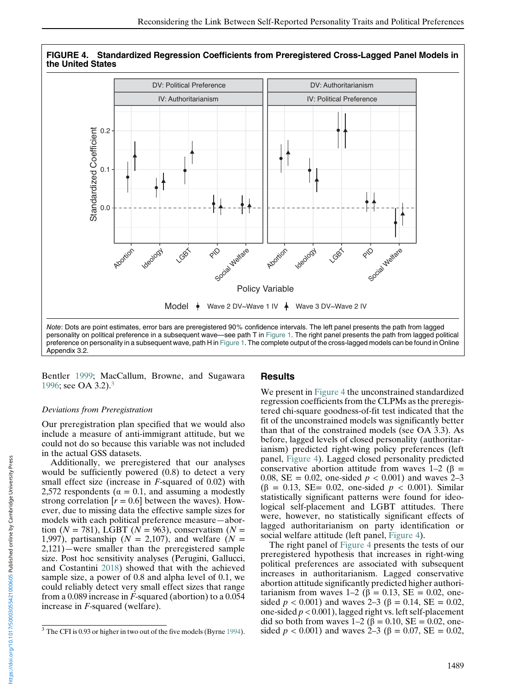

FIGURE 4. Standardized Regression Coefficients from Preregistered Cross-Lagged Panel Models in the United States

Bentler [1999](#page-16-0); MacCallum, Browne, and Sugawara [1996;](#page-17-0) see OA 3.2).3

#### Deviations from Preregistration

Our preregistration plan specified that we would also include a measure of anti-immigrant attitude, but we could not do so because this variable was not included in the actual GSS datasets.

Additionally, we preregistered that our analyses would be sufficiently powered (0.8) to detect a very small effect size (increase in *F*-squared of 0.02) with 2,572 respondents ( $\alpha = 0.1$ , and assuming a modestly strong correlation  $[r = 0.6]$  between the waves). However, due to missing data the effective sample sizes for models with each political preference measure—abortion ( $N = 781$ ), LGBT ( $N = 963$ ), conservatism ( $N =$ 1,997), partisanship  $(N = 2,107)$ , and welfare  $(N = 1,109)$ 2,121)—were smaller than the preregistered sample size. Post hoc sensitivity analyses (Perugini, Gallucci, and Costantini [2018](#page-17-0)) showed that with the achieved sample size, a power of 0.8 and alpha level of 0.1, we could reliably detect very small effect sizes that range from a 0.089 increase in F-squared (abortion) to a 0.054 increase in F-squared (welfare).

#### Results

We present in Figure 4 the unconstrained standardized regression coefficients from the CLPMs as the preregistered chi-square goodness-of-fit test indicated that the fit of the unconstrained models was significantly better than that of the constrained models (see OA 3.3). As before, lagged levels of closed personality (authoritarianism) predicted right-wing policy preferences (left panel, Figure 4). Lagged closed personality predicted conservative abortion attitude from waves  $1-2$  ( $\beta =$ 0.08, SE = 0.02, one-sided  $p < 0.001$ ) and waves 2–3 (β = 0.13, SE= 0.02, one-sided p < 0.001). Similar statistically significant patterns were found for ideological self-placement and LGBT attitudes. There were, however, no statistically significant effects of lagged authoritarianism on party identification or social welfare attitude (left panel, Figure 4).

The right panel of Figure 4 presents the tests of our preregistered hypothesis that increases in right-wing political preferences are associated with subsequent increases in authoritarianism. Lagged conservative abortion attitude significantly predicted higher authoritarianism from waves  $1-2$  ( $\beta = 0.13$ , SE = 0.02, onesided *p* < 0.001) and waves 2–3 (β = 0.14, SE = 0.02, one-sided  $p < 0.001$ ), lagged right vs. left self-placement did so both from waves  $1-2$  (β = 0.10, SE = 0.02, onesided  $p < 0.001$ ) and waves 2–3 ( $\beta = 0.07$ , SE = 0.02,

<sup>&</sup>lt;sup>3</sup> The CFI is 0.93 or higher in two out of the five models (Byrne [1994\)](#page-16-0).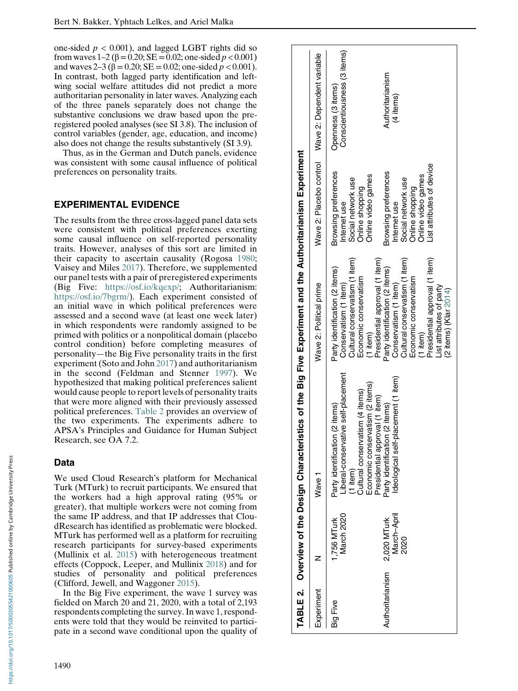one-sided  $p < 0.001$ ), and lagged LGBT rights did so from waves  $1-2$  (β = 0.20; SE = 0.02; one-sided  $p < 0.001$ ) and waves 2–3 ( $\beta$  = 0.20; SE = 0.02; one-sided  $p < 0.001$ ). In contrast, both lagged party identification and leftwing social welfare attitudes did not predict a more authoritarian personality in later waves. Analyzing each of the three panels separately does not change the substantive conclusions we draw based upon the preregistered pooled analyses (see SI 3.8). The inclusion of control variables (gender, age, education, and income) also does not change the results substantively (SI 3.9).

Thus, as in the German and Dutch panels, evidence was consistent with some causal influence of political preferences on personality traits.

## EXPERIMENTAL EVIDENCE

The results from the three cross-lagged panel data sets were consistent with political preferences exerting some causal influence on self-reported personality traits. However, analyses of this sort are limited in their capacity to ascertain causality (Rogosa [1980](#page-17-0) ; Vaisey and Miles [2017](#page-17-0)). Therefore, we supplemented our panel tests with a pair of preregistered experiments (Big Five: [https://osf.io/kqexp/;](https://osf.io/kqexp/) Authoritarianism: <https://osf.io/7bgrm/>). Each experiment consisted of an initial wave in which political preferences were assessed and a second wave (at least one week later) in which respondents were randomly assigned to be primed with politics or a nonpolitical domain (placebo control condition) before completing measures of personality —the Big Five personality traits in the first experiment (Soto and John [2017](#page-17-0)) and authoritarianism in the second (Feldman and Stenner [1997\)](#page-16-0). We hypothesized that making political preferences salient would cause people to report levels of personality traits that were more aligned with their previously assessed political preferences. Table 2 provides an overview of the two experiments. The experiments adhere to APSA 's Principles and Guidance for Human Subject Research, see OA 7.2.

## Data

We used Cloud Research 's platform for Mechanical Turk (MTurk) to recruit participants. We ensured that the workers had a high approval rating (95% or greater), that multiple workers were not coming from the same IP address, and that IP addresses that CloudResearch has identified as problematic were blocked. MTurk has performed well as a platform for recruiting research participants for survey-based experiments (Mullinix et al. [2015\)](#page-17-0) with heterogeneous treatment effects (Coppock, Leeper, and Mullinix [2018](#page-16-0)) and for studies of personality and political preferences (Clifford, Jewell, and Waggoner [2015\)](#page-16-0).

In the Big Five experiment, the wave 1 survey was fielded on March 20 and 21, 2020, with a total of 2,193 respondents completing the survey. In wave 1, respondents were told that they would be reinvited to participate in a second wave conditional upon the quality of

|                  |                                    | <b>FABLE 2. Overview of the Design Characterist</b>                                                                                                                                    | tics of the Big Five Experiment and the Authoritarianism Experiment                                                                                                                                                         |                                                                                                                                  |                                                    |
|------------------|------------------------------------|----------------------------------------------------------------------------------------------------------------------------------------------------------------------------------------|-----------------------------------------------------------------------------------------------------------------------------------------------------------------------------------------------------------------------------|----------------------------------------------------------------------------------------------------------------------------------|----------------------------------------------------|
| Experiment       |                                    | Wave 1                                                                                                                                                                                 | Wave 2: Political prime                                                                                                                                                                                                     |                                                                                                                                  | Wave 2: Placebo control Wave 2: Dependent variable |
| <b>Big Five</b>  | March 2020<br>1,756 MTurk          | iberal-conservative self-placement<br>Economic conservatism (2 items)<br>Cultural conservatism (4 items)<br>residential approval (1 item)<br>Party identification (2 items)<br>1 item) | Cultural conservatism (1 item)<br>Presidential approval (1 item)<br>Party identification (2 items)<br>Economic conservatism<br>Conservatism (1 item)<br>$(1$ item)                                                          | Browsing preferences<br>Online video games<br>Social network use<br>Online shopping<br>Internet use                              | Conscientiousness (3 items)<br>Openness (3 items)  |
| Authoritarianism | March-April<br>2,020 MTurk<br>2020 | Ideological self-placement (1 item)<br>Party identification (2 items)                                                                                                                  | Presidential approval (1 item)<br>Cultural conservatism (1 item)<br>Party identification (2 items)<br>Economic conservatism<br>Conservatism (1 item)<br>List attributes of party<br>$(2$ items) $(Klar 2014)$<br>$(1$ item) | List attributes of device<br>Browsing preferences<br>Online video games<br>Social network use<br>Online shopping<br>Internet use | Authoritarianism<br>(4 items)                      |

1490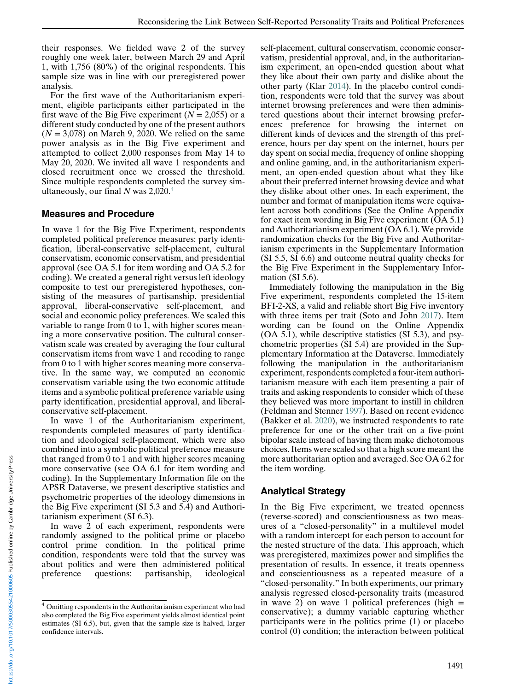their responses. We fielded wave 2 of the survey roughly one week later, between March 29 and April 1, with 1,756 (80%) of the original respondents. This sample size was in line with our preregistered power analysis.

For the first wave of the Authoritarianism experiment, eligible participants either participated in the first wave of the Big Five experiment  $(N = 2,055)$  or a different study conducted by one of the present authors  $(N = 3,078)$  on March 9, 2020. We relied on the same power analysis as in the Big Five experiment and attempted to collect 2,000 responses from May 14 to May 20, 2020. We invited all wave 1 respondents and closed recruitment once we crossed the threshold. Since multiple respondents completed the survey simultaneously, our final  $N$  was 2,020.<sup>4</sup>

## Measures and Procedure

In wave 1 for the Big Five Experiment, respondents completed political preference measures: party identification, liberal-conservative self-placement, cultural conservatism, economic conservatism, and presidential approval (see OA 5.1 for item wording and OA 5.2 for coding). We created a general right versus left ideology composite to test our preregistered hypotheses, consisting of the measures of partisanship, presidential approval, liberal-conservative self-placement, and social and economic policy preferences. We scaled this variable to range from 0 to 1, with higher scores meaning a more conservative position. The cultural conservatism scale was created by averaging the four cultural conservatism items from wave 1 and recoding to range from 0 to 1 with higher scores meaning more conservative. In the same way, we computed an economic conservatism variable using the two economic attitude items and a symbolic political preference variable using party identification, presidential approval, and liberalconservative self-placement.

In wave 1 of the Authoritarianism experiment, respondents completed measures of party identification and ideological self-placement, which were also combined into a symbolic political preference measure that ranged from 0 to 1 and with higher scores meaning more conservative (see OA 6.1 for item wording and coding). In the Supplementary Information file on the APSR Dataverse, we present descriptive statistics and psychometric properties of the ideology dimensions in the Big Five experiment (SI 5.3 and 5.4) and Authoritarianism experiment (SI 6.3).

In wave 2 of each experiment, respondents were randomly assigned to the political prime or placebo control prime condition. In the political prime condition, respondents were told that the survey was about politics and were then administered political preference questions: partisanship, ideological self-placement, cultural conservatism, economic conservatism, presidential approval, and, in the authoritarianism experiment, an open-ended question about what they like about their own party and dislike about the other party (Klar [2014](#page-16-0)). In the placebo control condition, respondents were told that the survey was about internet browsing preferences and were then administered questions about their internet browsing preferences: preference for browsing the internet on different kinds of devices and the strength of this preference, hours per day spent on the internet, hours per day spent on social media, frequency of online shopping and online gaming, and, in the authoritarianism experiment, an open-ended question about what they like about their preferred internet browsing device and what they dislike about other ones. In each experiment, the number and format of manipulation items were equivalent across both conditions (See the Online Appendix for exact item wording in Big Five experiment (OA 5.1) and Authoritarianism experiment (OA 6.1). We provide randomization checks for the Big Five and Authoritarianism experiments in the Supplementary Information (SI 5.5, SI 6.6) and outcome neutral quality checks for the Big Five Experiment in the Supplementary Information (SI 5.6).

Immediately following the manipulation in the Big Five experiment, respondents completed the 15-item BFI-2-XS, a valid and reliable short Big Five inventory with three items per trait (Soto and John [2017](#page-17-0)). Item wording can be found on the Online Appendix (OA 5.1), while descriptive statistics (SI 5.3), and psychometric properties (SI 5.4) are provided in the Supplementary Information at the Dataverse. Immediately following the manipulation in the authoritarianism experiment, respondents completed a four-item authoritarianism measure with each item presenting a pair of traits and asking respondents to consider which of these they believed was more important to instill in children (Feldman and Stenner [1997\)](#page-16-0). Based on recent evidence (Bakker et al. [2020\)](#page-16-0), we instructed respondents to rate preference for one or the other trait on a five-point bipolar scale instead of having them make dichotomous choices. Items were scaled so that a high score meant the more authoritarian option and averaged. See OA 6.2 for the item wording.

## Analytical Strategy

In the Big Five experiment, we treated openness (reverse-scored) and conscientiousness as two measures of a "closed-personality" in a multilevel model with a random intercept for each person to account for the nested structure of the data. This approach, which was preregistered, maximizes power and simplifies the presentation of results. In essence, it treats openness and conscientiousness as a repeated measure of a "closed-personality." In both experiments, our primary analysis regressed closed-personality traits (measured in wave 2) on wave 1 political preferences (high  $=$ conservative); a dummy variable capturing whether participants were in the politics prime (1) or placebo control (0) condition; the interaction between political

<sup>4</sup> Omitting respondents in the Authoritarianism experiment who had also completed the Big Five experiment yields almost identical point estimates (SI 6.5), but, given that the sample size is halved, larger confidence intervals.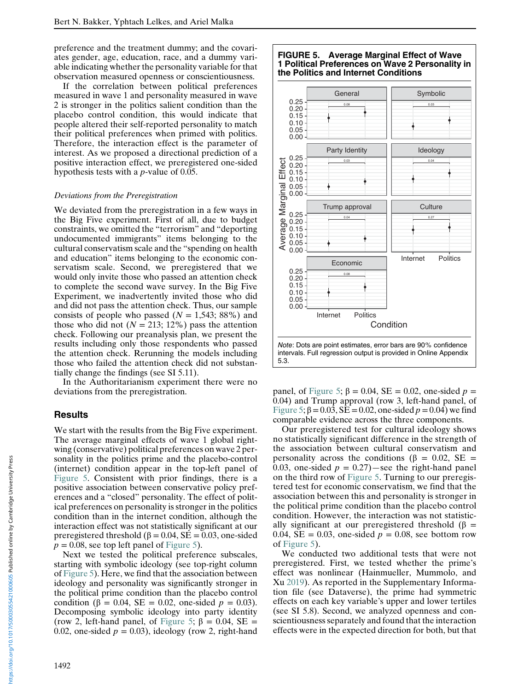preference and the treatment dummy; and the covariates gender, age, education, race, and a dummy variable indicating whether the personality variable for that observation measured openness or conscientiousness.

If the correlation between political preferences measured in wave 1 and personality measured in wave 2 is stronger in the politics salient condition than the placebo control condition, this would indicate that people altered their self-reported personality to match their political preferences when primed with politics. Therefore, the interaction effect is the parameter of interest. As we proposed a directional prediction of a positive interaction effect, we preregistered one-sided hypothesis tests with a p-value of 0.05.

#### Deviations from the Preregistration

We deviated from the preregistration in a few ways in the Big Five experiment. First of all, due to budget constraints, we omitted the "terrorism" and "deporting undocumented immigrants" items belonging to the cultural conservatism scale and the "spending on health and education" items belonging to the economic conservatism scale. Second, we preregistered that we would only invite those who passed an attention check to complete the second wave survey. In the Big Five Experiment, we inadvertently invited those who did and did not pass the attention check. Thus, our sample consists of people who passed  $(N = 1,543; 88\%)$  and those who did not ( $N = 213$ ; 12%) pass the attention check. Following our preanalysis plan, we present the results including only those respondents who passed the attention check. Rerunning the models including those who failed the attention check did not substantially change the findings (see SI 5.11).

In the Authoritarianism experiment there were no deviations from the preregistration.

#### **Results**

We start with the results from the Big Five experiment. The average marginal effects of wave 1 global rightwing (conservative) political preferences on wave 2 personality in the politics prime and the placebo-control (internet) condition appear in the top-left panel of Figure 5. Consistent with prior findings, there is a positive association between conservative policy preferences and a "closed" personality. The effect of political preferences on personality is stronger in the politics condition than in the internet condition, although the interaction effect was not statistically significant at our preregistered threshold ( $β = 0.04$ ,  $SE = 0.03$ , one-sided  $p = 0.08$ , see top left panel of Figure 5).

Next we tested the political preference subscales, starting with symbolic ideology (see top-right column of Figure 5). Here, we find that the association between ideology and personality was significantly stronger in the political prime condition than the placebo control condition (β = 0.04, SE = 0.02, one-sided  $p = 0.03$ ). Decomposing symbolic ideology into party identity (row 2, left-hand panel, of Figure 5;  $\beta = 0.04$ , SE = 0.02, one-sided  $p = 0.03$ ), ideology (row 2, right-hand



panel, of Figure 5;  $\beta = 0.04$ ,  $SE = 0.02$ , one-sided  $p =$ 0.04) and Trump approval (row 3, left-hand panel, of Figure 5;  $\beta$  = 0.03, SE = 0.02, one-sided  $p$  = 0.04) we find comparable evidence across the three components.

Our preregistered test for cultural ideology shows no statistically significant difference in the strength of the association between cultural conservatism and personality across the conditions ( $\beta = 0.02$ , SE = 0.03, one-sided  $p = 0.27$ )—see the right-hand panel on the third row of Figure 5. Turning to our preregistered test for economic conservatism, we find that the association between this and personality is stronger in the political prime condition than the placebo control condition. However, the interaction was not statistically significant at our preregistered threshold ( $\beta$  = 0.04,  $SE = 0.03$ , one-sided  $p = 0.08$ , see bottom row of Figure 5).

We conducted two additional tests that were not preregistered. First, we tested whether the prime's effect was nonlinear (Hainmueller, Mummolo, and Xu [2019\)](#page-16-0). As reported in the Supplementary Information file (see Dataverse), the prime had symmetric effects on each key variable's upper and lower tertiles (see SI 5.8). Second, we analyzed openness and conscientiousness separately and found that the interaction effects were in the expected direction for both, but that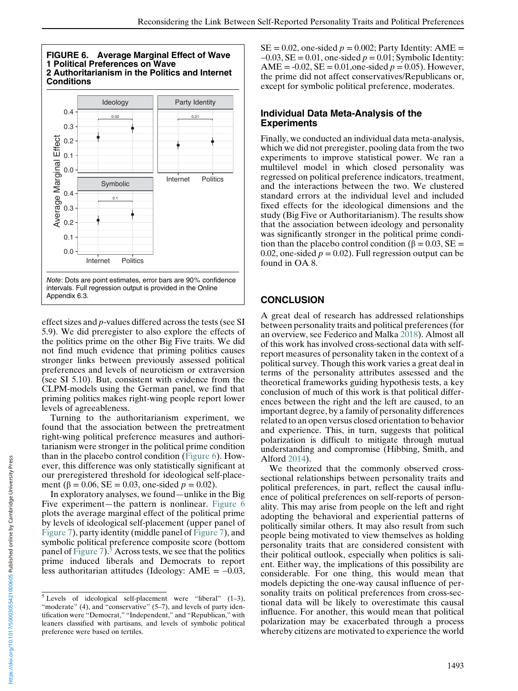

effect sizes and p-values differed across the tests (see SI 5.9). We did preregister to also explore the effects of the politics prime on the other Big Five traits. We did not find much evidence that priming politics causes stronger links between previously assessed political preferences and levels of neuroticism or extraversion (see SI 5.10). But, consistent with evidence from the CLPM-models using the German panel, we find that priming politics makes right-wing people report lower levels of agreeableness.

Turning to the authoritarianism experiment, we found that the association between the pretreatment right-wing political preference measures and authoritarianism were stronger in the political prime condition than in the placebo control condition (Figure 6). However, this difference was only statistically significant at our preregistered threshold for ideological self-placement ( $\beta = 0.06$ , SE = 0.03, one-sided  $p = 0.02$ ).

In exploratory analyses, we found—unlike in the Big Five experiment—the pattern is nonlinear. Figure 6 plots the average marginal effect of the political prime by levels of ideological self-placement (upper panel of [Figure 7\)](#page-13-0), party identity (middle panel of [Figure 7\)](#page-13-0), and symbolic political preference composite score (bottom panel of [Figure 7\)](#page-13-0).<sup>5</sup> Across tests, we see that the politics prime induced liberals and Democrats to report less authoritarian attitudes (Ideology: AME = −0.03,

 $SE = 0.02$ , one-sided  $p = 0.002$ ; Party Identity: AME =  $-0.03$ , SE = 0.01, one-sided  $p = 0.01$ ; Symbolic Identity: AME =  $-0.02$ , SE = 0.01, one-sided  $p = 0.05$ ). However, the prime did not affect conservatives/Republicans or, except for symbolic political preference, moderates.

#### Individual Data Meta-Analysis of the Experiments

Finally, we conducted an individual data meta-analysis, which we did not preregister, pooling data from the two experiments to improve statistical power. We ran a multilevel model in which closed personality was regressed on political preference indicators, treatment, and the interactions between the two. We clustered standard errors at the individual level and included fixed effects for the ideological dimensions and the study (Big Five or Authoritarianism). The results show that the association between ideology and personality was significantly stronger in the political prime condition than the placebo control condition ( $\beta = 0.03$ , SE = 0.02, one-sided  $p = 0.02$ ). Full regression output can be found in OA 8.

## **CONCLUSION**

A great deal of research has addressed relationships between personality traits and political preferences (for an overview, see Federico and Malka [2018](#page-16-0)). Almost all of this work has involved cross-sectional data with selfreport measures of personality taken in the context of a political survey. Though this work varies a great deal in terms of the personality attributes assessed and the theoretical frameworks guiding hypothesis tests, a key conclusion of much of this work is that political differences between the right and the left are caused, to an important degree, by a family of personality differences related to an open versus closed orientation to behavior and experience. This, in turn, suggests that political polarization is difficult to mitigate through mutual understanding and compromise (Hibbing, Smith, and Alford [2014\)](#page-16-0).

We theorized that the commonly observed crosssectional relationships between personality traits and political preferences, in part, reflect the causal influence of political preferences on self-reports of personality. This may arise from people on the left and right adopting the behavioral and experiential patterns of politically similar others. It may also result from such people being motivated to view themselves as holding personality traits that are considered consistent with their political outlook, especially when politics is salient. Either way, the implications of this possibility are considerable. For one thing, this would mean that models depicting the one-way causal influence of personality traits on political preferences from cross-sectional data will be likely to overestimate this causal influence. For another, this would mean that political polarization may be exacerbated through a process whereby citizens are motivated to experience the world

 $5$  Levels of ideological self-placement were "liberal" (1-3), "moderate" (4), and "conservative" (5–7), and levels of party identification were "Democrat," "Independent," and "Republican," with leaners classified with partisans, and levels of symbolic political preference were based on tertiles.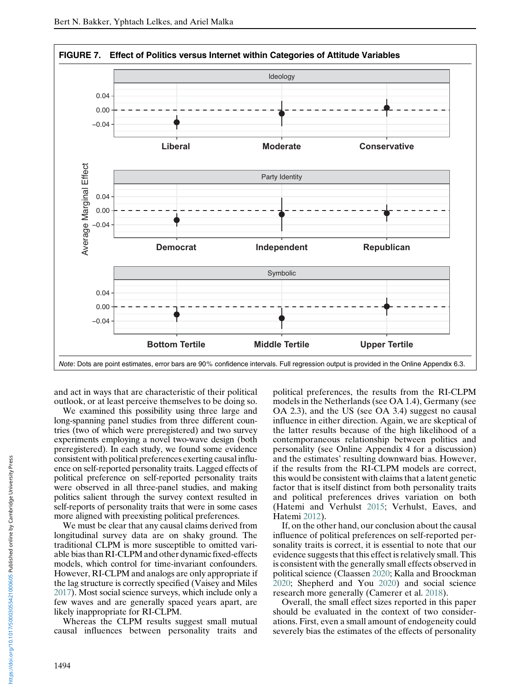<span id="page-13-0"></span>

and act in ways that are characteristic of their political outlook, or at least perceive themselves to be doing so.

We examined this possibility using three large and long-spanning panel studies from three different countries (two of which were preregistered) and two survey experiments employing a novel two-wave design (both preregistered). In each study, we found some evidence consistent with political preferences exerting causal influence on self-reported personality traits. Lagged effects of political preference on self-reported personality traits were observed in all three-panel studies, and making politics salient through the survey context resulted in self-reports of personality traits that were in some cases more aligned with preexisting political preferences.

We must be clear that any causal claims derived from longitudinal survey data are on shaky ground. The traditional CLPM is more susceptible to omitted variable bias than RI-CLPM and other dynamic fixed-effects models, which control for time-invariant confounders. However, RI-CLPM and analogs are only appropriate if the lag structure is correctly specified (Vaisey and Miles [2017\)](#page-17-0). Most social science surveys, which include only a few waves and are generally spaced years apart, are likely inappropriate for RI-CLPM.

Whereas the CLPM results suggest small mutual causal influences between personality traits and

political preferences, the results from the RI-CLPM models in the Netherlands (see OA 1.4), Germany (see OA 2.3), and the US (see OA 3.4) suggest no causal influence in either direction. Again, we are skeptical of the latter results because of the high likelihood of a contemporaneous relationship between politics and personality (see Online Appendix 4 for a discussion) and the estimates' resulting downward bias. However, if the results from the RI-CLPM models are correct, this would be consistent with claims that a latent genetic factor that is itself distinct from both personality traits and political preferences drives variation on both (Hatemi and Verhulst [2015;](#page-16-0) Verhulst, Eaves, and Hatemi [2012\)](#page-17-0).

If, on the other hand, our conclusion about the causal influence of political preferences on self-reported personality traits is correct, it is essential to note that our evidence suggests that this effect is relatively small. This is consistent with the generally small effects observed in political science (Claassen [2020](#page-16-0); Kalla and Broockman [2020;](#page-16-0) Shepherd and You [2020](#page-17-0)) and social science research more generally (Camerer et al. [2018\)](#page-16-0).

Overall, the small effect sizes reported in this paper should be evaluated in the context of two considerations. First, even a small amount of endogeneity could severely bias the estimates of the effects of personality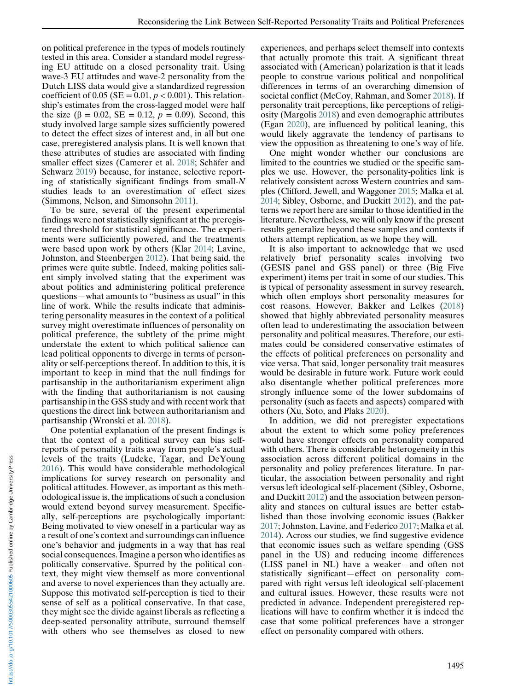on political preference in the types of models routinely tested in this area. Consider a standard model regressing EU attitude on a closed personality trait. Using wave-3 EU attitudes and wave-2 personality from the Dutch LISS data would give a standardized regression coefficient of 0.05 (SE =  $0.01, p < 0.001$ ). This relationship's estimates from the cross-lagged model were half the size (β = 0.02, SE = 0.12,  $p = 0.09$ ). Second, this study involved large sample sizes sufficiently powered to detect the effect sizes of interest and, in all but one case, preregistered analysis plans. It is well known that these attributes of studies are associated with finding smaller effect sizes (Camerer et al. [2018](#page-16-0); Schäfer and Schwarz [2019\)](#page-17-0) because, for instance, selective reporting of statistically significant findings from small- $N$ studies leads to an overestimation of effect sizes (Simmons, Nelson, and Simonsohn [2011\)](#page-17-0).

To be sure, several of the present experimental findings were not statistically significant at the preregistered threshold for statistical significance. The experiments were sufficiently powered, and the treatments were based upon work by others (Klar [2014;](#page-16-0) Lavine, Johnston, and Steenbergen [2012\)](#page-17-0). That being said, the primes were quite subtle. Indeed, making politics salient simply involved stating that the experiment was about politics and administering political preference questions—what amounts to "business as usual" in this line of work. While the results indicate that administering personality measures in the context of a political survey might overestimate influences of personality on political preference, the subtlety of the prime might understate the extent to which political salience can lead political opponents to diverge in terms of personality or self-perceptions thereof. In addition to this, it is important to keep in mind that the null findings for partisanship in the authoritarianism experiment align with the finding that authoritarianism is not causing partisanship in the GSS study and with recent work that questions the direct link between authoritarianism and partisanship (Wronski et al. [2018\)](#page-17-0).

One potential explanation of the present findings is that the context of a political survey can bias selfreports of personality traits away from people's actual levels of the traits (Ludeke, Tagar, and DeYoung [2016\)](#page-17-0). This would have considerable methodological implications for survey research on personality and political attitudes. However, as important as this methodological issue is, the implications of such a conclusion would extend beyond survey measurement. Specifically, self-perceptions are psychologically important: Being motivated to view oneself in a particular way as a result of one's context and surroundings can influence one's behavior and judgments in a way that has real social consequences. Imagine a person who identifies as politically conservative. Spurred by the political context, they might view themself as more conventional and averse to novel experiences than they actually are. Suppose this motivated self-perception is tied to their sense of self as a political conservative. In that case, they might see the divide against liberals as reflecting a deep-seated personality attribute, surround themself with others who see themselves as closed to new

experiences, and perhaps select themself into contexts that actually promote this trait. A significant threat associated with (American) polarization is that it leads people to construe various political and nonpolitical differences in terms of an overarching dimension of societal conflict (McCoy, Rahman, and Somer [2018](#page-17-0)). If personality trait perceptions, like perceptions of religiosity (Margolis [2018](#page-17-0)) and even demographic attributes (Egan [2020](#page-16-0)), are influenced by political leaning, this would likely aggravate the tendency of partisans to view the opposition as threatening to one's way of life.

One might wonder whether our conclusions are limited to the countries we studied or the specific samples we use. However, the personality-politics link is relatively consistent across Western countries and samples (Clifford, Jewell, and Waggoner [2015](#page-16-0); Malka et al. [2014](#page-17-0); Sibley, Osborne, and Duckitt [2012\)](#page-17-0), and the patterns we report here are similar to those identified in the literature. Nevertheless, we will only know if the present results generalize beyond these samples and contexts if others attempt replication, as we hope they will.

It is also important to acknowledge that we used relatively brief personality scales involving two (GESIS panel and GSS panel) or three (Big Five experiment) items per trait in some of our studies. This is typical of personality assessment in survey research, which often employs short personality measures for cost reasons. However, Bakker and Lelkes [\(2018](#page-16-0)) showed that highly abbreviated personality measures often lead to underestimating the association between personality and political measures. Therefore, our estimates could be considered conservative estimates of the effects of political preferences on personality and vice versa. That said, longer personality trait measures would be desirable in future work. Future work could also disentangle whether political preferences more strongly influence some of the lower subdomains of personality (such as facets and aspects) compared with others (Xu, Soto, and Plaks [2020\)](#page-17-0).

In addition, we did not preregister expectations about the extent to which some policy preferences would have stronger effects on personality compared with others. There is considerable heterogeneity in this association across different political domains in the personality and policy preferences literature. In particular, the association between personality and right versus left ideological self-placement (Sibley, Osborne, and Duckitt [2012\)](#page-17-0) and the association between personality and stances on cultural issues are better established than those involving economic issues (Bakker [2017;](#page-16-0) Johnston, Lavine, and Federico [2017](#page-16-0); Malka et al. [2014\)](#page-17-0). Across our studies, we find suggestive evidence that economic issues such as welfare spending (GSS panel in the US) and reducing income differences (LISS panel in NL) have a weaker—and often not statistically significant—effect on personality compared with right versus left ideological self-placement and cultural issues. However, these results were not predicted in advance. Independent preregistered replications will have to confirm whether it is indeed the case that some political preferences have a stronger effect on personality compared with others.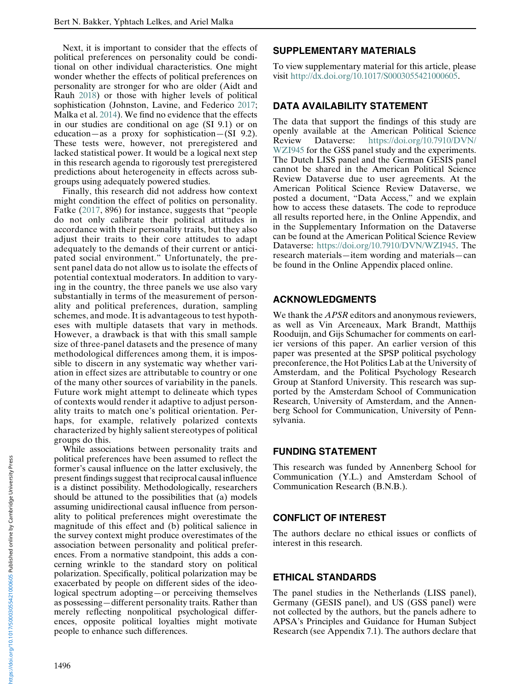Next, it is important to consider that the effects of political preferences on personality could be conditional on other individual characteristics. One might wonder whether the effects of political preferences on personality are stronger for who are older (Aidt and Rauh [2018\)](#page-16-0) or those with higher levels of political sophistication (Johnston, Lavine, and Federico [2017;](#page-16-0) Malka et al. [2014](#page-17-0)). We find no evidence that the effects in our studies are conditional on age (SI 9.1) or on education—as a proxy for sophistication—(SI 9.2). These tests were, however, not preregistered and lacked statistical power. It would be a logical next step in this research agenda to rigorously test preregistered predictions about heterogeneity in effects across subgroups using adequately powered studies.

Finally, this research did not address how context might condition the effect of politics on personality. Fatke [\(2017,](#page-16-0) 896) for instance, suggests that "people do not only calibrate their political attitudes in accordance with their personality traits, but they also adjust their traits to their core attitudes to adapt adequately to the demands of their current or anticipated social environment." Unfortunately, the present panel data do not allow us to isolate the effects of potential contextual moderators. In addition to varying in the country, the three panels we use also vary substantially in terms of the measurement of personality and political preferences, duration, sampling schemes, and mode. It is advantageous to test hypotheses with multiple datasets that vary in methods. However, a drawback is that with this small sample size of three-panel datasets and the presence of many methodological differences among them, it is impossible to discern in any systematic way whether variation in effect sizes are attributable to country or one of the many other sources of variability in the panels. Future work might attempt to delineate which types of contexts would render it adaptive to adjust personality traits to match one's political orientation. Perhaps, for example, relatively polarized contexts characterized by highly salient stereotypes of political groups do this.

While associations between personality traits and political preferences have been assumed to reflect the former's causal influence on the latter exclusively, the present findings suggest that reciprocal causal influence is a distinct possibility. Methodologically, researchers should be attuned to the possibilities that (a) models assuming unidirectional causal influence from personality to political preferences might overestimate the magnitude of this effect and (b) political salience in the survey context might produce overestimates of the association between personality and political preferences. From a normative standpoint, this adds a concerning wrinkle to the standard story on political polarization. Specifically, political polarization may be exacerbated by people on different sides of the ideological spectrum adopting—or perceiving themselves as possessing—different personality traits. Rather than merely reflecting nonpolitical psychological differences, opposite political loyalties might motivate people to enhance such differences.

## SUPPLEMENTARY MATERIALS

To view supplementary material for this article, please visit [http://dx.doi.org/10.1017/S0003055421000605.](http://dx.doi.org/10.1017/S0003055421000605)

#### DATA AVAILABILITY STATEMENT

The data that support the findings of this study are openly available at the American Political Science Review Dataverse: [https://doi.org/10.7910/DVN/](https://doi.org/10.7910/DVN/WZI945) [WZI945](https://doi.org/10.7910/DVN/WZI945) for the GSS panel study and the experiments. The Dutch LISS panel and the German GESIS panel cannot be shared in the American Political Science Review Dataverse due to user agreements. At the American Political Science Review Dataverse, we posted a document, "Data Access," and we explain how to access these datasets. The code to reproduce all results reported here, in the Online Appendix, and in the Supplementary Information on the Dataverse can be found at the American Political Science Review Dataverse: [https://doi.org/10.7910/DVN/WZI945.](https://doi.org/10.7910/DVN/WZI945) The research materials—item wording and materials—can be found in the Online Appendix placed online.

## ACKNOWLEDGMENTS

We thank the *APSR* editors and anonymous reviewers, as well as Vin Arceneaux, Mark Brandt, Matthijs Rooduijn, and Gijs Schumacher for comments on earlier versions of this paper. An earlier version of this paper was presented at the SPSP political psychology preconference, the Hot Politics Lab at the University of Amsterdam, and the Political Psychology Research Group at Stanford University. This research was supported by the Amsterdam School of Communication Research, University of Amsterdam, and the Annenberg School for Communication, University of Pennsylvania.

#### FUNDING STATEMENT

This research was funded by Annenberg School for Communication (Y.L.) and Amsterdam School of Communication Research (B.N.B.).

## CONFLICT OF INTEREST

The authors declare no ethical issues or conflicts of interest in this research.

## ETHICAL STANDARDS

The panel studies in the Netherlands (LISS panel), Germany (GESIS panel), and US (GSS panel) were not collected by the authors, but the panels adhere to APSA's Principles and Guidance for Human Subject Research (see Appendix 7.1). The authors declare that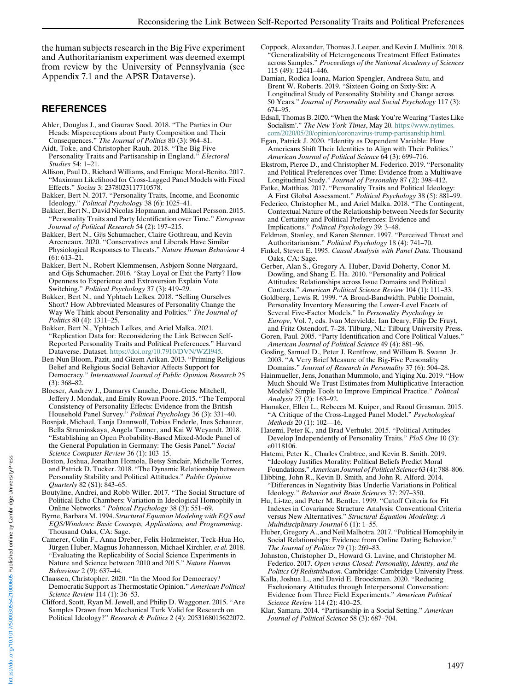<span id="page-16-0"></span>the human subjects research in the Big Five experiment and Authoritarianism experiment was deemed exempt from review by the University of Pennsylvania (see Appendix 7.1 and the APSR Dataverse).

#### REFERENCES

- Ahler, Douglas J., and Gaurav Sood. 2018. "The Parties in Our Heads: Misperceptions about Party Composition and Their Consequences." The Journal of Politics 80 (3): 964–81.
- Aidt, Toke, and Christopher Rauh. 2018. "The Big Five Personality Traits and Partisanship in England." Electoral Studies 54: 1–21.
- Allison, Paul D., Richard Williams, and Enrique Moral-Benito. 2017. "Maximum Likelihood for Cross-Lagged Panel Models with Fixed Effects." Socius 3: 2378023117710578.
- Bakker, Bert N. 2017. "Personality Traits, Income, and Economic Ideology." Political Psychology 38 (6): 1025–41.
- Bakker, Bert N., David Nicolas Hopmann, and Mikael Persson. 2015. "Personality Traits and Party Identification over Time." European Journal of Political Research 54 (2): 197–215.
- Bakker, Bert N., Gijs Schumacher, Claire Gothreau, and Kevin Arceneaux. 2020. "Conservatives and Liberals Have Similar Physiological Responses to Threats." Nature Human Behaviour 4 (6): 613–21.
- Bakker, Bert N., Robert Klemmensen, Asbjørn Sonne Nørgaard, and Gijs Schumacher. 2016. "Stay Loyal or Exit the Party? How Openness to Experience and Extroversion Explain Vote Switching." Political Psychology 37 (3): 419–29.
- Bakker, Bert N., and Yphtach Lelkes. 2018. "Selling Ourselves Short? How Abbreviated Measures of Personality Change the Way We Think about Personality and Politics." The Journal of Politics 80 (4): 1311–25.
- Bakker, Bert N., Yphtach Lelkes, and Ariel Malka. 2021. "Replication Data for: Reconsidering the Link Between Self-Reported Personality Traits and Political Preferences." Harvard Dataverse. Dataset. [https://doi.org/10.7910/DVN/WZI945.](https://doi.org/10.7910/DVN/WZI945)
- Ben-Nun Bloom, Pazit, and Gizem Arikan. 2013. "Priming Religious Belief and Religious Social Behavior Affects Support for Democracy." International Journal of Public Opinion Research 25 (3): 368–82.
- Bloeser, Andrew J., Damarys Canache, Dona-Gene Mitchell, Jeffery J. Mondak, and Emily Rowan Poore. 2015. "The Temporal Consistency of Personality Effects: Evidence from the British Household Panel Survey." Political Psychology 36 (3): 331–40.
- Bosnjak, Michael, Tanja Dannwolf, Tobias Enderle, Ines Schaurer, Bella Struminskaya, Angela Tanner, and Kai W Weyandt. 2018. "Establishing an Open Probability-Based Mixed-Mode Panel of the General Population in Germany: The Gesis Panel." Social Science Computer Review 36 (1): 103–15.
- Boston, Joshua, Jonathan Homola, Betsy Sinclair, Michelle Torres, and Patrick D. Tucker. 2018. "The Dynamic Relationship between Personality Stability and Political Attitudes." Public Opinion Quarterly 82 (S1): 843–65.
- Boutyline, Andrei, and Robb Willer. 2017. "The Social Structure of Political Echo Chambers: Variation in Ideological Homophily in Online Networks." Political Psychology 38 (3): 551–69.
- Byrne, Barbara M. 1994. Structural Equation Modeling with EQS and EQS/Windows: Basic Concepts, Applications, and Programming. Thousand Oaks, CA: Sage.
- Camerer, Colin F., Anna Dreber, Felix Holzmeister, Teck-Hua Ho, Jürgen Huber, Magnus Johannesson, Michael Kirchler, et al. 2018. "Evaluating the Replicability of Social Science Experiments in Nature and Science between 2010 and 2015." Nature Human Behaviour 2 (9): 637–44.
- Claassen, Christopher. 2020. "In the Mood for Democracy? Democratic Support as Thermostatic Opinion." American Political Science Review 114 (1): 36–53.
- Clifford, Scott, Ryan M. Jewell, and Philip D. Waggoner. 2015. "Are Samples Drawn from Mechanical Turk Valid for Research on Political Ideology?" Research & Politics 2 (4): 2053168015622072.
- Coppock, Alexander, Thomas J. Leeper, and Kevin J. Mullinix. 2018. "Generalizability of Heterogeneous Treatment Effect Estimates across Samples." Proceedings of the National Academy of Sciences 115 (49): 12441–446.
- Damian, Rodica Ioana, Marion Spengler, Andreea Sutu, and Brent W. Roberts. 2019. "Sixteen Going on Sixty-Six: A Longitudinal Study of Personality Stability and Change across 50 Years." Journal of Personality and Social Psychology 117 (3): 674–95.

Edsall, Thomas B. 2020. "When the Mask You're Wearing 'Tastes Like Socialism'." The New York Times, May 20. [https://www.nytimes.](https://www.nytimes.com/2020/05/20/opinion/coronavirus-trump-partisanship.html) [com/2020/05/20/opinion/coronavirus-trump-partisanship.html](https://www.nytimes.com/2020/05/20/opinion/coronavirus-trump-partisanship.html).

Egan, Patrick J. 2020. "Identity as Dependent Variable: How Americans Shift Their Identities to Align with Their Politics." American Journal of Political Science 64 (3): 699–716.

- Ekstrom, Pierce D., and Christopher M. Federico. 2019. "Personality and Political Preferences over Time: Evidence from a Multiwave Longitudinal Study." Journal of Personality 87 (2): 398-412.
- Fatke, Matthias. 2017. "Personality Traits and Political Ideology: A First Global Assessment." Political Psychology 38 (5): 881–99.
- Federico, Christopher M., and Ariel Malka. 2018. "The Contingent, Contextual Nature of the Relationship between Needs for Security and Certainty and Political Preferences: Evidence and Implications." Political Psychology 39: 3–48.
- Feldman, Stanley, and Karen Stenner. 1997. "Perceived Threat and Authoritarianism." Political Psychology 18 (4): 741–70.
- Finkel, Steven E. 1995. Causal Analysis with Panel Data. Thousand Oaks, CA: Sage.
- Gerber, Alan S., Gregory A. Huber, David Doherty, Conor M. Dowling, and Shang E. Ha. 2010. "Personality and Political Attitudes: Relationships across Issue Domains and Political Contexts." American Political Science Review 104 (1): 111–33.
- Goldberg, Lewis R. 1999. "A Broad-Bandwidth, Public Domain, Personality Inventory Measuring the Lower-Level Facets of Several Five-Factor Models." In Personality Psychology in Europe, Vol. 7, eds. Ivan Mervielde, Ian Deary, Filip De Fruyt, and Fritz Ostendorf, 7–28. Tilburg, NL: Tilburg University Press.
- Goren, Paul. 2005. "Party Identification and Core Political Values." American Journal of Political Science 49 (4): 881–96.
- Gosling, Samuel D., Peter J. Rentfrow, and William B. Swann Jr. 2003. "A Very Brief Measure of the Big-Five Personality Domains." Journal of Research in Personality 37 (6): 504–28.
- Hainmueller, Jens, Jonathan Mummolo, and Yiqing Xu. 2019. "How Much Should We Trust Estimates from Multiplicative Interaction Models? Simple Tools to Improve Empirical Practice." Political Analysis 27 (2): 163–92.
- Hamaker, Ellen L., Rebecca M. Kuiper, and Raoul Grasman. 2015. "A Critique of the Cross-Lagged Panel Model." Psychological Methods 20 (1): 102-16.
- Hatemi, Peter K., and Brad Verhulst. 2015. "Political Attitudes Develop Independently of Personality Traits." PloS One 10 (3): e0118106.
- Hatemi, Peter K., Charles Crabtree, and Kevin B. Smith. 2019. "Ideology Justifies Morality: Political Beliefs Predict Moral Foundations." American Journal of Political Science 63 (4): 788–806.
- Hibbing, John R., Kevin B. Smith, and John R. Alford. 2014. "Differences in Negativity Bias Underlie Variations in Political Ideology." Behavior and Brain Sciences 37: 297–350.
- Hu, Li-tze, and Peter M. Bentler. 1999. "Cutoff Criteria for Fit Indexes in Covariance Structure Analysis: Conventional Criteria versus New Alternatives." Structural Equation Modeling: A Multidisciplinary Journal 6 (1): 1–55.
- Huber, Gregory A., and Neil Malhotra. 2017. "Political Homophily in Social Relationships: Evidence from Online Dating Behavior." The Journal of Politics 79 (1): 269–83.
- Johnston, Christopher D., Howard G. Lavine, and Christopher M. Federico. 2017. Open versus Closed: Personality, Identity, and the Politics Of Redistribution. Cambridge: Cambridge University Press.
- Kalla, Joshua L., and David E. Broockman. 2020. "Reducing Exclusionary Attitudes through Interpersonal Conversation: Evidence from Three Field Experiments." American Political Science Review 114 (2): 410-25.
- Klar, Samara. 2014. "Partisanship in a Social Setting." American Journal of Political Science 58 (3): 687–704.